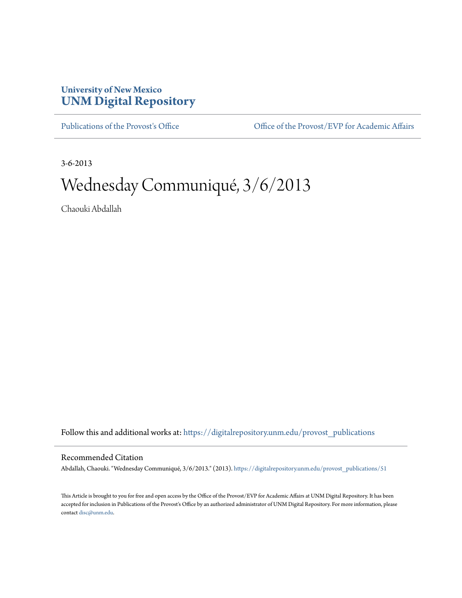## **University of New Mexico [UNM Digital Repository](https://digitalrepository.unm.edu?utm_source=digitalrepository.unm.edu%2Fprovost_publications%2F51&utm_medium=PDF&utm_campaign=PDFCoverPages)**

[Publications of the Provost's Office](https://digitalrepository.unm.edu/provost_publications?utm_source=digitalrepository.unm.edu%2Fprovost_publications%2F51&utm_medium=PDF&utm_campaign=PDFCoverPages) Office [Office of the Provost/EVP for Academic Affairs](https://digitalrepository.unm.edu/ofc_provost?utm_source=digitalrepository.unm.edu%2Fprovost_publications%2F51&utm_medium=PDF&utm_campaign=PDFCoverPages)

3-6-2013

## Wednesday Communiqué, 3/6/2013

Chaouki Abdallah

Follow this and additional works at: [https://digitalrepository.unm.edu/provost\\_publications](https://digitalrepository.unm.edu/provost_publications?utm_source=digitalrepository.unm.edu%2Fprovost_publications%2F51&utm_medium=PDF&utm_campaign=PDFCoverPages)

## Recommended Citation

Abdallah, Chaouki. "Wednesday Communiqué, 3/6/2013." (2013). [https://digitalrepository.unm.edu/provost\\_publications/51](https://digitalrepository.unm.edu/provost_publications/51?utm_source=digitalrepository.unm.edu%2Fprovost_publications%2F51&utm_medium=PDF&utm_campaign=PDFCoverPages)

This Article is brought to you for free and open access by the Office of the Provost/EVP for Academic Affairs at UNM Digital Repository. It has been accepted for inclusion in Publications of the Provost's Office by an authorized administrator of UNM Digital Repository. For more information, please contact [disc@unm.edu.](mailto:disc@unm.edu)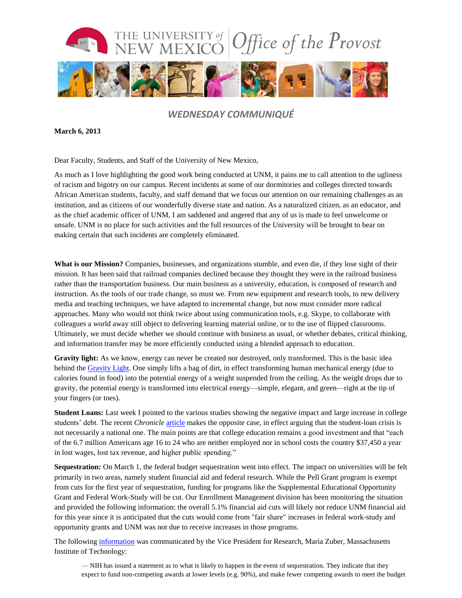

*WEDNESDAY COMMUNIQUÉ*

**March 6, 2013**

Dear Faculty, Students, and Staff of the University of New Mexico,

As much as I love highlighting the good work being conducted at UNM, it pains me to call attention to the ugliness of racism and bigotry on our campus. Recent incidents at some of our dormitories and colleges directed towards African American students, faculty, and staff demand that we focus our attention on our remaining challenges as an institution, and as citizens of our wonderfully diverse state and nation. As a naturalized citizen, as an educator, and as the chief academic officer of UNM, I am saddened and angered that any of us is made to feel unwelcome or unsafe. UNM is no place for such activities and the full resources of the University will be brought to bear on making certain that such incidents are completely eliminated.

**What is our Mission?** Companies, businesses, and organizations stumble, and even die, if they lose sight of their mission. It has been said that railroad companies declined because they thought they were in the railroad business rather than the transportation business. Our main business as a university, education, is composed of research and instruction. As the tools of our trade change, so must we. From new equipment and research tools, to new delivery media and teaching techniques, we have adapted to incremental change, but now must consider more radical approaches. Many who would not think twice about using communication tools, e.g. Skype, to collaborate with colleagues a world away still object to delivering learning material online, or to the use of flipped classrooms. Ultimately, we must decide whether we should continue with business as usual, or whether debates, critical thinking, and information transfer may be more efficiently conducted using a blended approach to education.

**Gravity light:** As we know, energy can never be created nor destroyed, only transformed. This is the basic idea behind the [Gravity Light.](http://deciwatt.org/) One simply lifts a bag of dirt, in effect transforming human mechanical energy (due to calories found in food) into the potential energy of a weight suspended from the ceiling. As the weight drops due to gravity, the potential energy is transformed into electrical energy—simple, elegant, and green—right at the tip of your fingers (or toes).

**Student Loans:** Last week I pointed to the various studies showing the negative impact and large increase in college students' debt. The recent *Chronicle* [article](http://www.theatlantic.com/magazine/archive/2013/03/myth-student-loan-crisis/309231/) makes the opposite case, in effect arguing that the student-loan crisis is not necessarily a national one. The main points are that college education remains a good investment and that "each of the 6.7 million Americans age 16 to 24 who are neither employed nor in school costs the country \$37,450 a year in lost wages, lost tax revenue, and higher public spending."

**Sequestration:** On March 1, the federal budget sequestration went into effect. The impact on universities will be felt primarily in two areas, namely student financial aid and federal research. While the Pell Grant program is exempt from cuts for the first year of sequestration, funding for programs like the Supplemental Educational Opportunity Grant and Federal Work-Study will be cut. Our Enrollment Management division has been monitoring the situation and provided the following information: the overall 5.1% financial aid cuts will likely not reduce UNM financial aid for this year since it is anticipated that the cuts would come from "fair share" increases in federal work-study and opportunity grants and UNM was not due to receive increases in those programs.

The following [information](http://web.mit.edu/newsoffice/2013/sequester-letter-maria-zuber-0228.html) was communicated by the Vice President for Research, Maria Zuber, Massachusetts Institute of Technology:

— NIH has issued a statement as to what is likely to happen in the event of sequestration. They indicate that they expect to fund non-competing awards at lower levels (e.g. 90%), and make fewer competing awards to meet the budget